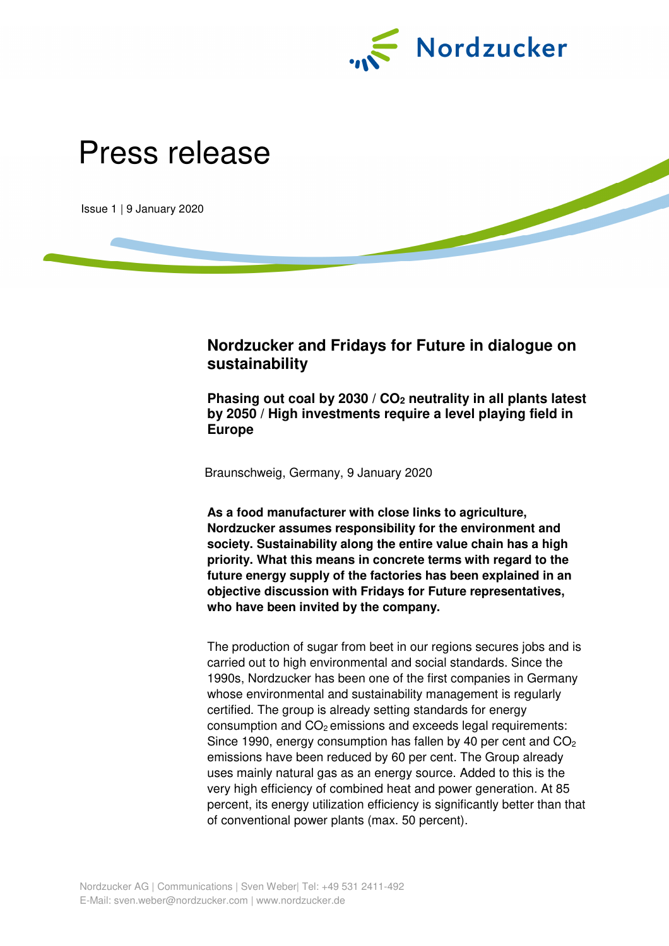

# Press release

Issue 1 | 9 January 2020

# **Nordzucker and Fridays for Future in dialogue on sustainability**

**Phasing out coal by 2030 / CO2 neutrality in all plants latest by 2050 / High investments require a level playing field in Europe** 

Braunschweig, Germany, 9 January 2020

**As a food manufacturer with close links to agriculture, Nordzucker assumes responsibility for the environment and society. Sustainability along the entire value chain has a high priority. What this means in concrete terms with regard to the future energy supply of the factories has been explained in an objective discussion with Fridays for Future representatives, who have been invited by the company.** 

The production of sugar from beet in our regions secures jobs and is carried out to high environmental and social standards. Since the 1990s, Nordzucker has been one of the first companies in Germany whose environmental and sustainability management is regularly certified. The group is already setting standards for energy consumption and  $CO<sub>2</sub>$  emissions and exceeds legal requirements: Since 1990, energy consumption has fallen by 40 per cent and  $CO<sub>2</sub>$ emissions have been reduced by 60 per cent. The Group already uses mainly natural gas as an energy source. Added to this is the very high efficiency of combined heat and power generation. At 85 percent, its energy utilization efficiency is significantly better than that of conventional power plants (max. 50 percent).